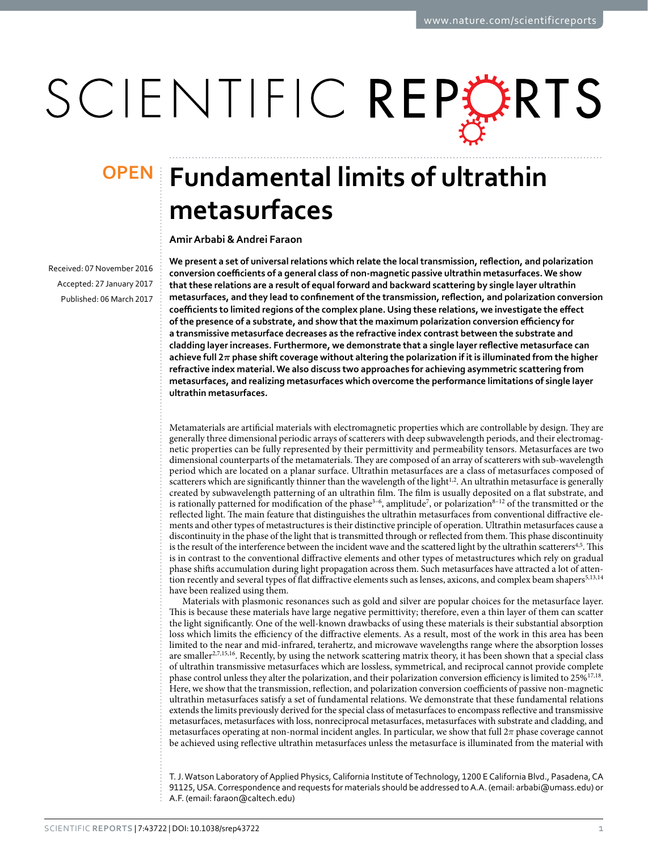# SCIENTIFIC REPERTS

Received: 07 November 2016 accepted: 27 January 2017 Published: 06 March 2017

## **Fundamental limits of ultrathin OPENmetasurfaces**

**AmirArbabi & Andrei Faraon**

**We present a set of universal relations which relate the local transmission, reflection, and polarization conversion coefficients of a general class of non-magnetic passive ultrathin metasurfaces. We show that these relations are a result of equal forward and backward scattering by single layer ultrathin metasurfaces, and they lead to confinement of the transmission, reflection, and polarization conversion coefficients to limited regions of the complex plane. Using these relations, we investigate the effect of the presence of a substrate, and show that the maximum polarization conversion efficiency for a transmissive metasurface decreases as the refractive index contrast between the substrate and cladding layer increases. Furthermore, we demonstrate that a single layer reflective metasurface can achieve full 2***π* **phase shift coverage without altering the polarization if it is illuminated from the higher refractive index material. We also discuss two approaches for achieving asymmetric scattering from metasurfaces, and realizing metasurfaces which overcome the performance limitations of single layer ultrathin metasurfaces.**

Metamaterials are artificial materials with electromagnetic properties which are controllable by design. They are generally three dimensional periodic arrays of scatterers with deep subwavelength periods, and their electromagnetic properties can be fully represented by their permittivity and permeability tensors. Metasurfaces are two dimensional counterparts of the metamaterials. They are composed of an array of scatterers with sub-wavelength period which are located on a planar surface. Ultrathin metasurfaces are a class of metasurfaces composed of scatterers which are significantly thinner than the wavelength of the light $1.2$  $1.2$ . An ultrathin metasurface is generally created by subwavelength patterning of an ultrathin film. The film is usually deposited on a flat substrate, and is rationally patterned for modification of the phase<sup>3-6</sup>, amplitude<sup>[7](#page-6-3)</sup>, or polarization<sup>8-12</sup> of the transmitted or the reflected light. The main feature that distinguishes the ultrathin metasurfaces from conventional diffractive elements and other types of metastructures is their distinctive principle of operation. Ultrathin metasurfaces cause a discontinuity in the phase of the light that is transmitted through or reflected from them. This phase discontinuity is the result of the interference between the incident wave and the scattered light by the ultrathin scatterers $4.5$ . This is in contrast to the conventional diffractive elements and other types of metastructures which rely on gradual phase shifts accumulation during light propagation across them. Such metasurfaces have attracted a lot of atten-tion recently and several types of flat diffractive elements such as lenses, axicons, and complex beam shapers<sup>[5,](#page-6-6)[13,](#page-6-7)[14](#page-6-8)</sup> have been realized using them.

Materials with plasmonic resonances such as gold and silver are popular choices for the metasurface layer. This is because these materials have large negative permittivity; therefore, even a thin layer of them can scatter the light significantly. One of the well-known drawbacks of using these materials is their substantial absorption loss which limits the efficiency of the diffractive elements. As a result, most of the work in this area has been limited to the near and mid-infrared, terahertz, and microwave wavelengths range where the absorption losses are smaller<sup>2[,7](#page-6-3),[15](#page-6-9),[16](#page-6-10)</sup>. Recently, by using the network scattering matrix theory, it has been shown that a special class of ultrathin transmissive metasurfaces which are lossless, symmetrical, and reciprocal cannot provide complete phase control unless they alter the polarization, and their polarization conversion efficiency is limited to  $25\frac{6}{17}$ ,<sup>18</sup>. Here, we show that the transmission, reflection, and polarization conversion coefficients of passive non-magnetic ultrathin metasurfaces satisfy a set of fundamental relations. We demonstrate that these fundamental relations extends the limits previously derived for the special class of metasurfaces to encompass reflective and transmissive metasurfaces, metasurfaces with loss, nonreciprocal metasurfaces, metasurfaces with substrate and cladding, and metasurfaces operating at non-normal incident angles. In particular, we show that full 2*π* phase coverage cannot be achieved using reflective ultrathin metasurfaces unless the metasurface is illuminated from the material with

T. J. Watson Laboratory of Applied Physics, California Institute of Technology, 1200 E California Blvd., Pasadena, CA 91125, USA. Correspondence and requests for materials should be addressed to A.A. (email: [arbabi@umass.edu](mailto:arbabi@umass.edu)) or A.F. (email: [faraon@caltech.edu\)](mailto:faraon@caltech.edu)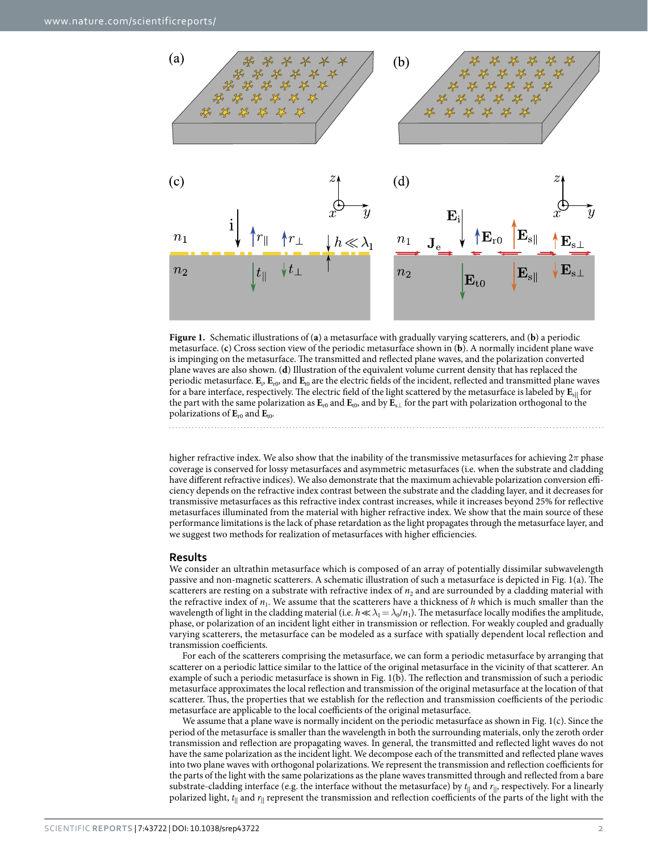

<span id="page-1-0"></span>**Figure 1.** Schematic illustrations of (**a**) a metasurface with gradually varying scatterers, and (**b**) a periodic metasurface. (**c**) Cross section view of the periodic metasurface shown in (**b**). A normally incident plane wave is impinging on the metasurface. The transmitted and reflected plane waves, and the polarization converted plane waves are also shown. (**d**) Illustration of the equivalent volume current density that has replaced the periodic metasurface.  $E_i$ ,  $E_{r0}$ , and  $E_{t0}$  are the electric fields of the incident, reflected and transmitted plane waves for a bare interface, respectively. The electric field of the light scattered by the metasurface is labeled by **E**s|| for the part with the same polarization as  $\mathbf{E}_{r0}$  and  $\mathbf{E}_{r0}$ , and by  $\mathbf{E}_{s\perp}$  for the part with polarization orthogonal to the polarizations of  $\mathbf{E}_{r0}$  and  $\mathbf{E}_{t0}$ .

higher refractive index. We also show that the inability of the transmissive metasurfaces for achieving 2*π* phase coverage is conserved for lossy metasurfaces and asymmetric metasurfaces (i.e. when the substrate and cladding have different refractive indices). We also demonstrate that the maximum achievable polarization conversion efficiency depends on the refractive index contrast between the substrate and the cladding layer, and it decreases for transmissive metasurfaces as this refractive index contrast increases, while it increases beyond 25% for reflective metasurfaces illuminated from the material with higher refractive index. We show that the main source of these performance limitations is the lack of phase retardation as the light propagates through the metasurface layer, and we suggest two methods for realization of metasurfaces with higher efficiencies.

#### **Results**

We consider an ultrathin metasurface which is composed of an array of potentially dissimilar subwavelength passive and non-magnetic scatterers. A schematic illustration of such a metasurface is depicted in [Fig. 1\(a\)](#page-1-0). The scatterers are resting on a substrate with refractive index of  $n<sub>2</sub>$  and are surrounded by a cladding material with the refractive index of  $n_1$ . We assume that the scatterers have a thickness of  $h$  which is much smaller than the wavelength of light in the cladding material (i.e.  $h \ll \lambda_1 = \lambda_0/n_1$ ). The metasurface locally modifies the amplitude, phase, or polarization of an incident light either in transmission or reflection. For weakly coupled and gradually varying scatterers, the metasurface can be modeled as a surface with spatially dependent local reflection and transmission coefficients.

For each of the scatterers comprising the metasurface, we can form a periodic metasurface by arranging that scatterer on a periodic lattice similar to the lattice of the original metasurface in the vicinity of that scatterer. An example of such a periodic metasurface is shown in [Fig. 1\(b\).](#page-1-0) The reflection and transmission of such a periodic metasurface approximates the local reflection and transmission of the original metasurface at the location of that scatterer. Thus, the properties that we establish for the reflection and transmission coefficients of the periodic metasurface are applicable to the local coefficients of the original metasurface.

We assume that a plane wave is normally incident on the periodic metasurface as shown in [Fig. 1\(c\).](#page-1-0) Since the period of the metasurface is smaller than the wavelength in both the surrounding materials, only the zeroth order transmission and reflection are propagating waves. In general, the transmitted and reflected light waves do not have the same polarization as the incident light. We decompose each of the transmitted and reflected plane waves into two plane waves with orthogonal polarizations. We represent the transmission and reflection coefficients for the parts of the light with the same polarizations as the plane waves transmitted through and reflected from a bare substrate-cladding interface (e.g. the interface without the metasurface) by  $t_{||}$  and  $r_{||}$ , respectively. For a linearly polarized light,  $t_{\parallel}$  and  $r_{\parallel}$  represent the transmission and reflection coefficients of the parts of the light with the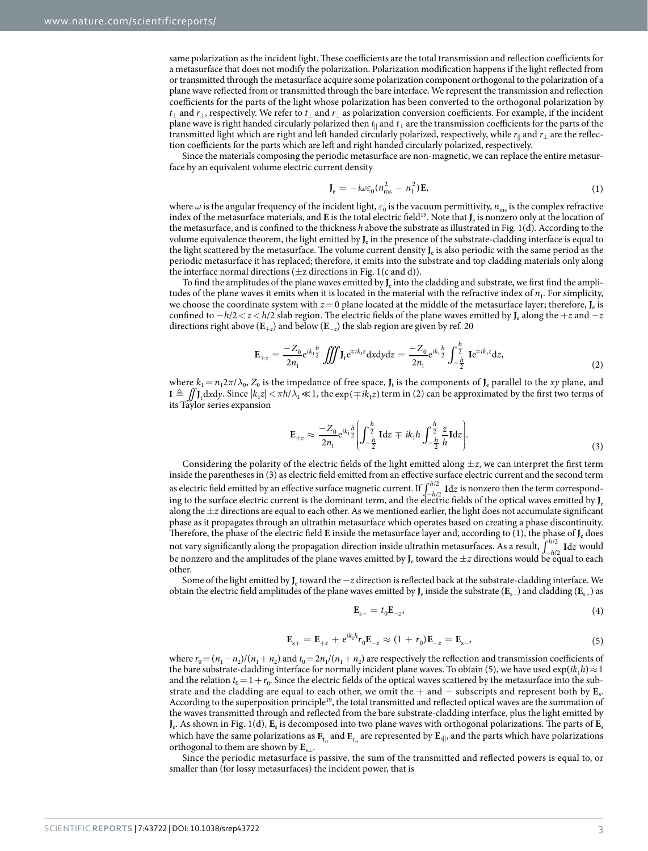same polarization as the incident light. These coefficients are the total transmission and reflection coefficients for a metasurface that does not modify the polarization. Polarization modification happens if the light reflected from or transmitted through the metasurface acquire some polarization component orthogonal to the polarization of a plane wave reflected from or transmitted through the bare interface. We represent the transmission and reflection coefficients for the parts of the light whose polarization has been converted to the orthogonal polarization by *t*⊥ and *r*⊥, respectively. We refer to *t*⊥ and *r*⊥ as polarization conversion coefficients. For example, if the incident plane wave is right handed circularly polarized then *t*|| and *t*⊥ are the transmission coefficients for the parts of the transmitted light which are right and left handed circularly polarized, respectively, while *r*|| and *r*⊥ are the reflection coefficients for the parts which are left and right handed circularly polarized, respectively.

Since the materials composing the periodic metasurface are non-magnetic, we can replace the entire metasurface by an equivalent volume electric current density

$$
\mathbf{J}_{\mathbf{e}} = -i\omega\varepsilon_0 (n_{\text{ms}}^2 - n_1^2) \mathbf{E},\tag{1}
$$

where  $\omega$  is the angular frequency of the incident light,  $\varepsilon_0$  is the vacuum permittivity,  $n_{\text{ms}}$  is the complex refractive index of the metasurface materials, and **E** is the total electric field<sup>[19](#page-7-2)</sup>. Note that  $J_e$  is nonzero only at the location of the metasurface, and is confined to the thickness *h* above the substrate as illustrated in [Fig. 1\(d\)](#page-1-0). According to the volume equivalence theorem, the light emitted by **J**e in the presence of the substrate-cladding interface is equal to the light scattered by the metasurface. The volume current density **J**e is also periodic with the same period as the periodic metasurface it has replaced; therefore, it emits into the substrate and top cladding materials only along the interface normal directions  $(\pm z$  directions in [Fig. 1\(c](#page-1-0) and d)).

To find the amplitudes of the plane waves emitted by **J**e into the cladding and substrate, we first find the amplitudes of the plane waves it emits when it is located in the material with the refractive index of  $n_1$ . For simplicity, we choose the coordinate system with *z*= 0 plane located at the middle of the metasurface layer; therefore, **J**e is confined to −*h*/2< *z*< *h*/2 slab region. The electric fields of the plane waves emitted by **J**e along the +*z* and −*z* directions right above (**E**<sup>+</sup>*z*) and below (**E**<sup>−</sup>*z*) the slab region are given by ref. [20](#page-7-3)

$$
\mathbf{E}_{\pm z} = \frac{-Z_0}{2n_1} e^{ik_1 \frac{h}{2}} \iiint \mathbf{J}_t e^{\mp ik_1 z} dxdydz = \frac{-Z_0}{2n_1} e^{ik_1 \frac{h}{2}} \int_{-\frac{h}{2}}^{\frac{h}{2}} \mathbf{I} e^{\mp ik_1 z} dz,
$$
\n(2)

where  $k_1 = n_1 2\pi/\lambda_0$ ,  $Z_0$  is the impedance of free space,  $J_t$  is the components of  $J_e$  parallel to the *xy* plane, and  $I \triangleq \iint J_1 dx dy$ . Since  $|k_1 z| < \pi h/\lambda_1 \ll 1$ , the  $\exp(\mp ik_1 z)$  term in (2) can be approximated by the first two terms of its Taylor series expansion

$$
\mathbf{E}_{\pm z} \approx \frac{-Z_0}{2n_1} e^{ik_1 \frac{h}{2}} \left( \int_{-\frac{h}{2}}^{\frac{h}{2}} \mathbf{I} \, \mathrm{d}z \mp ik_1 h \int_{-\frac{h}{2}}^{\frac{h}{2}} \frac{z}{h} \mathbf{I} \, \mathrm{d}z \right). \tag{3}
$$

Considering the polarity of the electric fields of the light emitted along  $\pm z$ , we can interpret the first term inside the parentheses in (3) as electric field emitted from an effective surface electric current and the second term as electric field emitted by an effective surface magnetic current. If  $\int_{-h/2}^{h/2}$  **Idz**  $\frac{1}{h/2}$  Idz is nonzero then the term corresponding to the surface electric current is the dominant term, and the electric fields of the optical waves emitted by  $J_e$ along the ±*z* directions are equal to each other. As we mentioned earlier, the light does not accumulate significant phase as it propagates through an ultrathin metasurface which operates based on creating a phase discontinuity. Therefore, the phase of the electric field **E** inside the metasurface layer and, according to (1), the phase of **J**e does not vary significantly along the propagation direction inside ultrathin metasurfaces. As a result,  $\int_{-h/2}^{h/2} \text{Id}z$  $\int h/2$  Idz would be nonzero and the amplitudes of the plane waves emitted by **J**<sub>c</sub> toward the  $\pm z$  directions would be equal to each other.

Some of the light emitted by **J**e toward the −*z* direction is reflected back at the substrate-cladding interface. We obtain the electric field amplitudes of the plane waves emitted by **J**e inside the substrate (**E**s<sup>−</sup>) and cladding (**E**s<sup>+</sup>) as

$$
\mathbf{E}_{s-} = t_0 \mathbf{E}_{-z},\tag{4}
$$

$$
\mathbf{E}_{s+} = \mathbf{E}_{+z} + e^{ik_1h} r_0 \mathbf{E}_{-z} \approx (1 + r_0) \mathbf{E}_{-z} = \mathbf{E}_{s-},
$$
\n(5)

where  $r_0 = (n_1 - n_2)/(n_1 + n_2)$  and  $t_0 = 2n_1/(n_1 + n_2)$  are respectively the reflection and transmission coefficients of the bare substrate-cladding interface for normally incident plane waves. To obtain (5), we have used  $\exp(ik_1h) \approx 1$ and the relation  $t_0=1+r_0$ . Since the electric fields of the optical waves scattered by the metasurface into the substrate and the cladding are equal to each other, we omit the + and − subscripts and represent both by **E**s. According to the superposition principle[19](#page-7-2), the total transmitted and reflected optical waves are the summation of the waves transmitted through and reflected from the bare substrate-cladding interface, plus the light emitted by **J**e. As shown in [Fig. 1\(d\)](#page-1-0), **E**s is decomposed into two plane waves with orthogonal polarizations. The parts of **E**<sup>s</sup> which have the same polarizations as  $E_{t_0}$  and  $E_{r_0}$  are represented by  $E_{s||}$ , and the parts which have polarizations orthogonal to them are shown by **E**s<sup>⊥</sup>.

Since the periodic metasurface is passive, the sum of the transmitted and reflected powers is equal to, or smaller than (for lossy metasurfaces) the incident power, that is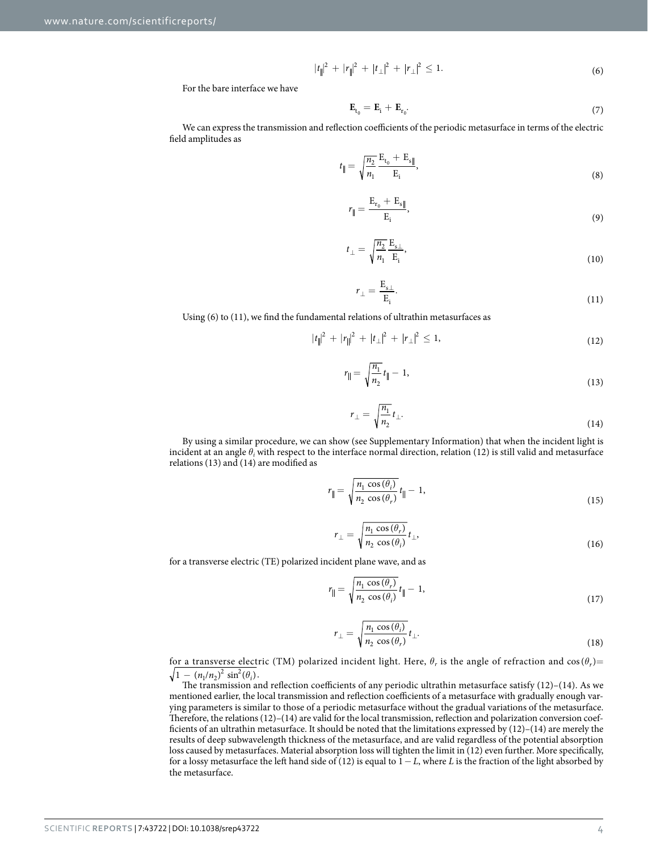$$
|t_{\parallel}|^2 + |r_{\parallel}|^2 + |t_{\perp}|^2 + |r_{\perp}|^2 \le 1.
$$
 (6)

For the bare interface we have

$$
\mathbf{E}_{t_0} = \mathbf{E}_i + \mathbf{E}_{r_0}.\tag{7}
$$

We can express the transmission and reflection coefficients of the periodic metasurface in terms of the electric field amplitudes as

$$
t_{\parallel} = \sqrt{\frac{n_2}{n_1}} \frac{\mathrm{E}_{\mathrm{t}_0} + \mathrm{E}_{\mathrm{s}\parallel}}{\mathrm{E}_{\mathrm{i}}},\tag{8}
$$

$$
r_{\parallel} = \frac{E_{r_0} + E_{s_{\parallel}}}{E_i},
$$
\n(9)

$$
t_{\perp} = \sqrt{\frac{n_2}{n_1}} \frac{\mathbf{E}_{s\perp}}{\mathbf{E}_i},\tag{10}
$$

$$
r_{\perp} = \frac{\mathbf{E}_{s\perp}}{\mathbf{E}_{i}}.\tag{11}
$$

Using (6) to (11), we find the fundamental relations of ultrathin metasurfaces as

$$
|t_{\parallel}|^2 + |r_{\parallel}|^2 + |t_{\perp}|^2 + |r_{\perp}|^2 \le 1,
$$
\n(12)

$$
r_{\parallel} = \sqrt{\frac{n_1}{n_2}} t_{\parallel} - 1, \tag{13}
$$

$$
r_{\perp} = \sqrt{\frac{n_1}{n_2}} t_{\perp}.
$$
\n(14)

By using a similar procedure, we can show (see Supplementary Information) that when the incident light is incident at an angle  $\theta_i$  with respect to the interface normal direction, relation (12) is still valid and metasurface relations (13) and (14) are modified as

$$
r_{\parallel} = \sqrt{\frac{n_1 \cos(\theta_i)}{n_2 \cos(\theta_r)}} t_{\parallel} - 1,
$$
\n(15)

$$
r_{\perp} = \sqrt{\frac{n_1 \cos(\theta_r)}{n_2 \cos(\theta_i)}} t_{\perp},
$$
\n(16)

for a transverse electric (TE) polarized incident plane wave, and as

$$
r_{\parallel} = \sqrt{\frac{n_1 \cos(\theta_r)}{n_2 \cos(\theta_i)}} t_{\parallel} - 1, \qquad (17)
$$

$$
r_{\perp} = \sqrt{\frac{n_1 \cos(\theta_i)}{n_2 \cos(\theta_r)}} t_{\perp}.
$$
\n(18)

for a transverse electric (TM) polarized incident light. Here, *θr* is the angle of refraction and cos (*θr*)=  $1 - (n_1/n_2)^2 \sin^2(\theta_i).$ 

The transmission and reflection coefficients of any periodic ultrathin metasurface satisfy (12)–(14). As we mentioned earlier, the local transmission and reflection coefficients of a metasurface with gradually enough varying parameters is similar to those of a periodic metasurface without the gradual variations of the metasurface. Therefore, the relations (12)–(14) are valid for the local transmission, reflection and polarization conversion coefficients of an ultrathin metasurface. It should be noted that the limitations expressed by  $(12)$ – $(14)$  are merely the results of deep subwavelength thickness of the metasurface, and are valid regardless of the potential absorption loss caused by metasurfaces. Material absorption loss will tighten the limit in (12) even further. More specifically, for a lossy metasurface the left hand side of (12) is equal to 1−*L*, where *L* is the fraction of the light absorbed by the metasurface.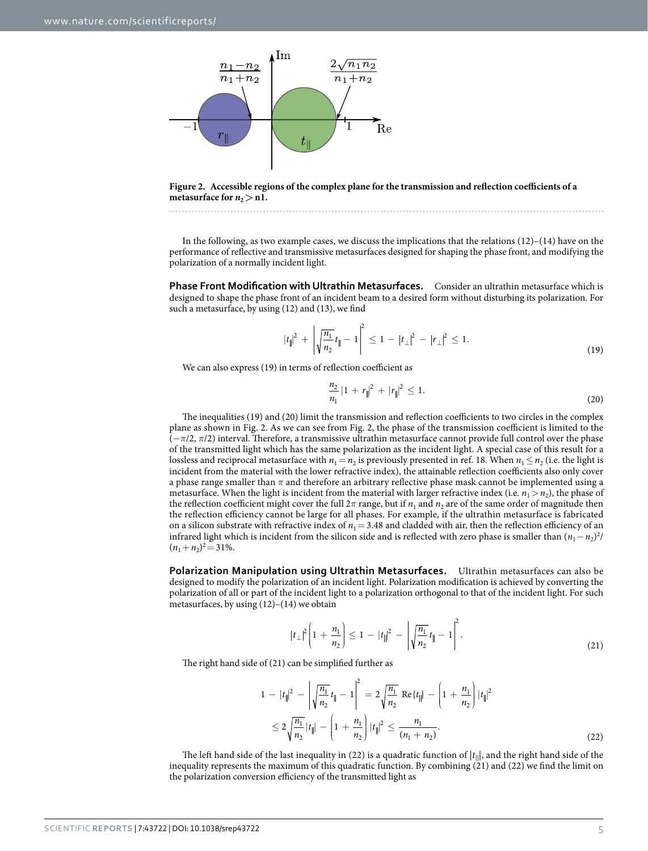

<span id="page-4-0"></span>**Figure 2. Accessible regions of the complex plane for the transmission and reflection coefficients of a metasurface for**  $n_2 > n1$ **.** 

In the following, as two example cases, we discuss the implications that the relations  $(12)-(14)$  have on the performance of reflective and transmissive metasurfaces designed for shaping the phase front, and modifying the polarization of a normally incident light.

**Phase Front Modification with Ultrathin Metasurfaces.** Consider an ultrathin metasurface which is designed to shape the phase front of an incident beam to a desired form without disturbing its polarization. For such a metasurface, by using (12) and (13), we find

$$
|t_{\parallel}|^{2} + \left| \sqrt{\frac{n_{1}}{n_{2}}}t_{\parallel} - 1 \right|^{2} \leq 1 - |t_{\perp}|^{2} - |r_{\perp}|^{2} \leq 1.
$$
\n(19)

We can also express (19) in terms of reflection coefficient as

$$
\frac{n_2}{n_1}|1 + r_{\parallel}|^2 + |r_{\parallel}|^2 \le 1.
$$
\n(20)

The inequalities (19) and (20) limit the transmission and reflection coefficients to two circles in the complex plane as shown in [Fig. 2.](#page-4-0) As we can see from [Fig. 2,](#page-4-0) the phase of the transmission coefficient is limited to the (−*π*/2, *π*/2) interval. Therefore, a transmissive ultrathin metasurface cannot provide full control over the phase of the transmitted light which has the same polarization as the incident light. A special case of this result for a lossless and reciprocal metasurface with  $n_1 = n_2$  is previously presented in ref. [18.](#page-7-1) When  $n_1 \le n_2$  (i.e. the light is incident from the material with the lower refractive index), the attainable reflection coefficients also only cover a phase range smaller than *π* and therefore an arbitrary reflective phase mask cannot be implemented using a metasurface. When the light is incident from the material with larger refractive index (i.e.  $n_1 > n_2$ ), the phase of the reflection coefficient might cover the full  $2\pi$  range, but if  $n_1$  and  $n_2$  are of the same order of magnitude then the reflection efficiency cannot be large for all phases. For example, if the ultrathin metasurface is fabricated on a silicon substrate with refractive index of  $n_1 = 3.48$  and cladded with air, then the reflection efficiency of an infrared light which is incident from the silicon side and is reflected with zero phase is smaller than  $(n_1 - n_2)^2$  $(n_1+n_2)^2=31\%$ .

**Polarization Manipulation using Ultrathin Metasurfaces.** Ultrathin metasurfaces can also be designed to modify the polarization of an incident light. Polarization modification is achieved by converting the polarization of all or part of the incident light to a polarization orthogonal to that of the incident light. For such metasurfaces, by using (12)–(14) we obtain

$$
|t_{\perp}|^{2}\left(1+\frac{n_{1}}{n_{2}}\right)\leq 1-|t_{\parallel}|^{2}-\left|\sqrt{\frac{n_{1}}{n_{2}}}t_{\parallel}-1\right|^{2}.
$$
\n(21)

The right hand side of (21) can be simplified further as

$$
1 - |t_{\parallel}|^2 - \left| \sqrt{\frac{n_1}{n_2}} t_{\parallel} - 1 \right|^2 = 2 \sqrt{\frac{n_1}{n_2}} \operatorname{Re} \{ t_{\parallel} \} - \left( 1 + \frac{n_1}{n_2} \right) |t_{\parallel}|^2
$$
  

$$
\leq 2 \sqrt{\frac{n_1}{n_2}} |t_{\parallel}| - \left( 1 + \frac{n_1}{n_2} \right) |t_{\parallel}|^2 \leq \frac{n_1}{(n_1 + n_2)}.
$$
 (22)

The left hand side of the last inequality in (22) is a quadratic function of  $|t_{\parallel}|$ , and the right hand side of the inequality represents the maximum of this quadratic function. By combining (21) and (22) we find the limit on the polarization conversion efficiency of the transmitted light as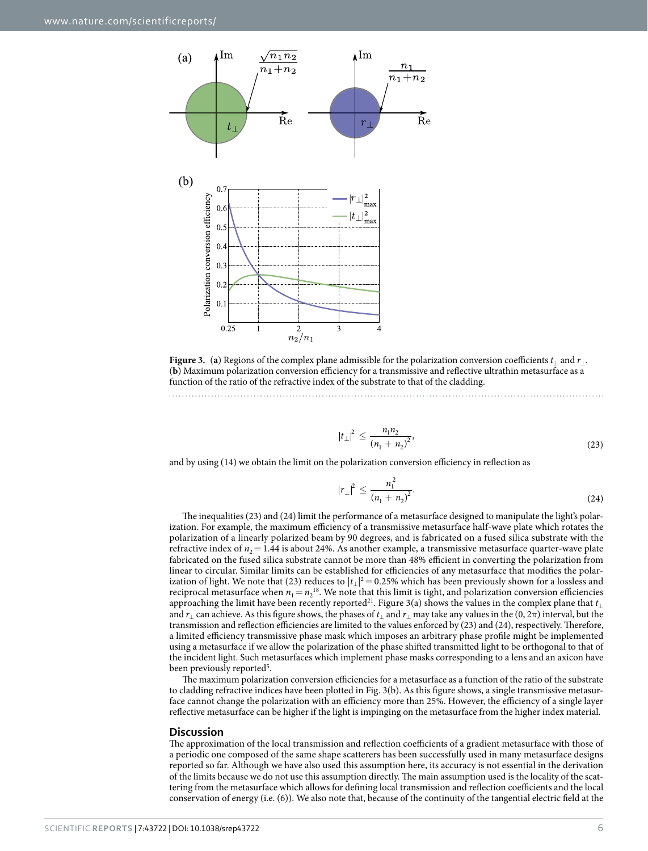

<span id="page-5-0"></span>**Figure 3.** (**a**) Regions of the complex plane admissible for the polarization conversion coefficients *t*⊥ and *r*⊥. (**b**) Maximum polarization conversion efficiency for a transmissive and reflective ultrathin metasurface as a function of the ratio of the refractive index of the substrate to that of the cladding.

$$
|t_{\perp}|^2 \le \frac{n_1 n_2}{(n_1 + n_2)^2},\tag{23}
$$

and by using (14) we obtain the limit on the polarization conversion efficiency in reflection as

$$
|r_{\perp}|^2 \le \frac{n_1^2}{(n_1 + n_2)^2}.
$$
 (24)

The inequalities (23) and (24) limit the performance of a metasurface designed to manipulate the light's polarization. For example, the maximum efficiency of a transmissive metasurface half-wave plate which rotates the polarization of a linearly polarized beam by 90 degrees, and is fabricated on a fused silica substrate with the refractive index of  $n_2$  = 1.44 is about 24%. As another example, a transmissive metasurface quarter-wave plate fabricated on the fused silica substrate cannot be more than 48% efficient in converting the polarization from linear to circular. Similar limits can be established for efficiencies of any metasurface that modifies the polarization of light. We note that (23) reduces to |*t*⊥| <sup>2</sup>= 0.25% which has been previously shown for a lossless and reciprocal metasurface when  $n_1 = n_2$ <sup>[18](#page-7-1)</sup>. We note that this limit is tight, and polarization conversion efficiencies approaching the limit have been recently reported[21](#page-7-4). [Figure 3\(a\)](#page-5-0) shows the values in the complex plane that *t*<sup>⊥</sup> and *r*⊥ can achieve. As this figure shows, the phases of *t*⊥ and *r*⊥ may take any values in the (0, 2*π*) interval, but the transmission and reflection efficiencies are limited to the values enforced by (23) and (24), respectively. Therefore, a limited efficiency transmissive phase mask which imposes an arbitrary phase profile might be implemented using a metasurface if we allow the polarization of the phase shifted transmitted light to be orthogonal to that of the incident light. Such metasurfaces which implement phase masks corresponding to a lens and an axicon have been previously reported<sup>[5](#page-6-6)</sup>.

The maximum polarization conversion efficiencies for a metasurface as a function of the ratio of the substrate to cladding refractive indices have been plotted in [Fig. 3\(b\).](#page-5-0) As this figure shows, a single transmissive metasurface cannot change the polarization with an efficiency more than 25%. However, the efficiency of a single layer reflective metasurface can be higher if the light is impinging on the metasurface from the higher index material.

#### **Discussion**

The approximation of the local transmission and reflection coefficients of a gradient metasurface with those of a periodic one composed of the same shape scatterers has been successfully used in many metasurface designs reported so far. Although we have also used this assumption here, its accuracy is not essential in the derivation of the limits because we do not use this assumption directly. The main assumption used is the locality of the scattering from the metasurface which allows for defining local transmission and reflection coefficients and the local conservation of energy (i.e. (6)). We also note that, because of the continuity of the tangential electric field at the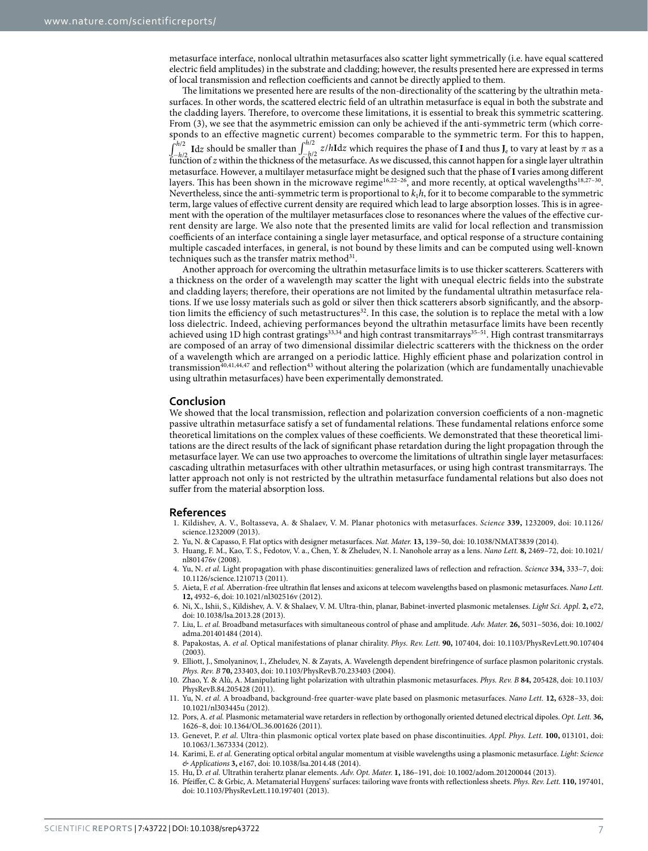metasurface interface, nonlocal ultrathin metasurfaces also scatter light symmetrically (i.e. have equal scattered electric field amplitudes) in the substrate and cladding; however, the results presented here are expressed in terms of local transmission and reflection coefficients and cannot be directly applied to them.

The limitations we presented here are results of the non-directionality of the scattering by the ultrathin metasurfaces. In other words, the scattered electric field of an ultrathin metasurface is equal in both the substrate and the cladding layers. Therefore, to overcome these limitations, it is essential to break this symmetric scattering. From (3), we see that the asymmetric emission can only be achieved if the anti-symmetric term (which corresponds to an effective magnetic current) becomes comparable to the symmetric term. For this to happen,  $\int_{-h/2}^{h/2}$ **I**dz  $\int_{h/2}^{h/2}$  **I**dz should be smaller than  $\int_{-h/2}^{h/2} z/h \, \mathrm{Id}$  *z h***I** dz <sup>/2</sup>  $z/h$ Idz which requires the phase of I and thus  $J_e$  to vary at least by  $\pi$  as a  $\frac{\partial^2 f}{\partial x^2}$  function of *z* within the thickness of the metasurface. As we discussed, this cannot happen for a single layer ultrathin metasurface. However, a multilayer metasurface might be designed such that the phase of **I** varies among different layers. This has been shown in the microwave regime<sup>[16,](#page-6-10)22-26</sup>, and more recently, at optical wavelengths<sup>[18,](#page-7-1)27-30</sup>. Nevertheless, since the anti-symmetric term is proportional to *k*1*h*, for it to become comparable to the symmetric term, large values of effective current density are required which lead to large absorption losses. This is in agreement with the operation of the multilayer metasurfaces close to resonances where the values of the effective current density are large. We also note that the presented limits are valid for local reflection and transmission coefficients of an interface containing a single layer metasurface, and optical response of a structure containing multiple cascaded interfaces, in general, is not bound by these limits and can be computed using well-known techniques such as the transfer matrix method<sup>[31](#page-7-7)</sup>.

Another approach for overcoming the ultrathin metasurface limits is to use thicker scatterers. Scatterers with a thickness on the order of a wavelength may scatter the light with unequal electric fields into the substrate and cladding layers; therefore, their operations are not limited by the fundamental ultrathin metasurface relations. If we use lossy materials such as gold or silver then thick scatterers absorb significantly, and the absorption limits the efficiency of such metastructures<sup>32</sup>. In this case, the solution is to replace the metal with a low loss dielectric. Indeed, achieving performances beyond the ultrathin metasurface limits have been recently achieved using 1D high contrast gratings<sup>33,34</sup> and high contrast transmitarrays<sup>35-51</sup>. High contrast transmitarrays are composed of an array of two dimensional dissimilar dielectric scatterers with the thickness on the order of a wavelength which are arranged on a periodic lattice. Highly efficient phase and polarization control in transmission<sup>[40](#page-7-12),[41](#page-7-13),[44,](#page-7-14)47</sup> and reflection<sup>43</sup> without altering the polarization (which are fundamentally unachievable using ultrathin metasurfaces) have been experimentally demonstrated.

#### **Conclusion**

We showed that the local transmission, reflection and polarization conversion coefficients of a non-magnetic passive ultrathin metasurface satisfy a set of fundamental relations. These fundamental relations enforce some theoretical limitations on the complex values of these coefficients. We demonstrated that these theoretical limitations are the direct results of the lack of significant phase retardation during the light propagation through the metasurface layer. We can use two approaches to overcome the limitations of ultrathin single layer metasurfaces: cascading ultrathin metasurfaces with other ultrathin metasurfaces, or using high contrast transmitarrays. The latter approach not only is not restricted by the ultrathin metasurface fundamental relations but also does not suffer from the material absorption loss.

#### **References**

- <span id="page-6-0"></span>1. Kildishev, A. V., Boltasseva, A. & Shalaev, V. M. Planar photonics with metasurfaces. *Science* **339,** 1232009, doi: 10.1126/ science.1232009 (2013).
- <span id="page-6-1"></span>2. Yu, N. & Capasso, F. Flat optics with designer metasurfaces. *Nat. Mater.* **13,** 139–50, doi: 10.1038/NMAT3839 (2014).
- <span id="page-6-2"></span>3. Huang, F. M., Kao, T. S., Fedotov, V. a., Chen, Y. & Zheludev, N. I. Nanohole array as a lens. *Nano Lett.* **8,** 2469–72, doi: 10.1021/ nl801476v (2008).
- <span id="page-6-5"></span>4. Yu, N. *et al.* Light propagation with phase discontinuities: generalized laws of reflection and refraction. *Science* **334,** 333–7, doi: 10.1126/science.1210713 (2011).
- <span id="page-6-6"></span>5. Aieta, F. *et al.* Aberration-free ultrathin flat lenses and axicons at telecom wavelengths based on plasmonic metasurfaces. *Nano Lett.* **12,** 4932–6, doi: 10.1021/nl302516v (2012).
- 6. Ni, X., Ishii, S., Kildishev, A. V. & Shalaev, V. M. Ultra-thin, planar, Babinet-inverted plasmonic metalenses. *Light Sci. Appl*. **2,** e72, doi: 10.1038/lsa.2013.28 (2013).
- <span id="page-6-3"></span>7. Liu, L. *et al.* Broadband metasurfaces with simultaneous control of phase and amplitude. *Adv. Mater.* **26,** 5031–5036, doi: 10.1002/ adma.201401484 (2014).
- <span id="page-6-4"></span>8. Papakostas, A. *et al.* Optical manifestations of planar chirality. *Phys. Rev. Lett.* **90,** 107404, doi: 10.1103/PhysRevLett.90.107404 (2003).
- 9. Elliott, J., Smolyaninov, I., Zheludev, N. & Zayats, A. Wavelength dependent birefringence of surface plasmon polaritonic crystals. *Phys. Rev. B* **70,** 233403, doi: 10.1103/PhysRevB.70.233403 (2004).
- 10. Zhao, Y. & Alù, A. Manipulating light polarization with ultrathin plasmonic metasurfaces. *Phys. Rev. B* **84,** 205428, doi: 10.1103/ PhysRevB.84.205428 (2011).
- 11. Yu, N. *et al.* A broadband, background-free quarter-wave plate based on plasmonic metasurfaces. *Nano Lett.* **12,** 6328–33, doi: 10.1021/nl303445u (2012).
- 12. Pors, A. *et al.* Plasmonic metamaterial wave retarders in reflection by orthogonally oriented detuned electrical dipoles. *Opt. Lett.* **36,** 1626–8, doi: 10.1364/OL.36.001626 (2011).
- <span id="page-6-7"></span>13. Genevet, P. *et al.* Ultra-thin plasmonic optical vortex plate based on phase discontinuities. *Appl. Phys. Lett.* **100,** 013101, doi: 10.1063/1.3673334 (2012).
- <span id="page-6-8"></span>14. Karimi, E. *et al.* Generating optical orbital angular momentum at visible wavelengths using a plasmonic metasurface. *Light: Science & Applications* **3,** e167, doi: 10.1038/lsa.2014.48 (2014).
- <span id="page-6-9"></span>15. Hu, D. *et al.* Ultrathin terahertz planar elements. *Adv. Opt. Mater.* **1,** 186–191, doi: 10.1002/adom.201200044 (2013).
- <span id="page-6-10"></span>16. Pfeiffer, C. & Grbic, A. Metamaterial Huygens' surfaces: tailoring wave fronts with reflectionless sheets. *Phys. Rev. Lett.* **110,** 197401, doi: 10.1103/PhysRevLett.110.197401 (2013).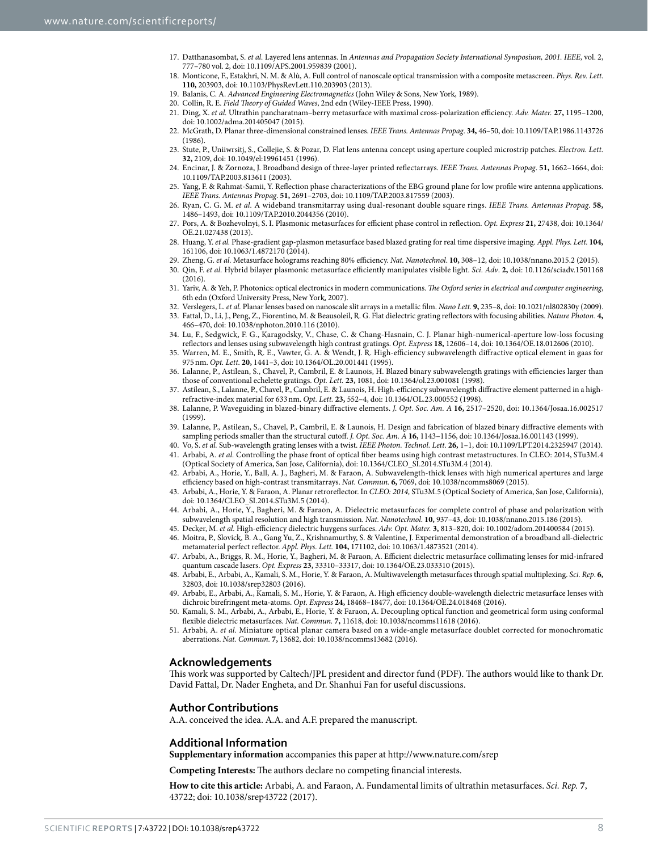- <span id="page-7-0"></span>17. Datthanasombat, S. *et al.* Layered lens antennas. In *Antennas and Propagation Society International Symposium, 2001. IEEE*, vol. 2, 777–780 vol. 2, doi: 10.1109/APS.2001.959839 (2001).
- <span id="page-7-1"></span>18. Monticone, F., Estakhri, N. M. & Alù, A. Full control of nanoscale optical transmission with a composite metascreen. *Phys. Rev. Lett.* **110,** 203903, doi: 10.1103/PhysRevLett.110.203903 (2013).
- <span id="page-7-2"></span>19. Balanis, C. A. *Advanced Engineering Electromagnetics* (John Wiley & Sons, New York, 1989).
- <span id="page-7-4"></span><span id="page-7-3"></span>20. Collin, R. E. *Field Theory of Guided Waves*, 2nd edn (Wiley-IEEE Press, 1990).
- 21. Ding, X. *et al.* Ultrathin pancharatnam–berry metasurface with maximal cross-polarization efficiency. *Adv. Mater.* **27,** 1195–1200, doi: 10.1002/adma.201405047 (2015).
- <span id="page-7-5"></span>22. McGrath, D. Planar three-dimensional constrained lenses. *IEEE Trans. Antennas Propag*. **34,** 46–50, doi: 10.1109/TAP.1986.1143726  $(1986)$
- 23. Stute, P., Uniiwrsitj, S., Collejie, S. & Pozar, D. Flat lens antenna concept using aperture coupled microstrip patches. *Electron. Lett.* **32,** 2109, doi: 10.1049/el:19961451 (1996).
- 24. Encinar, J. & Zornoza, J. Broadband design of three-layer printed reflectarrays. *IEEE Trans. Antennas Propag*. **51,** 1662–1664, doi: 10.1109/TAP.2003.813611 (2003).
- 25. Yang, F. & Rahmat-Samii, Y. Reflection phase characterizations of the EBG ground plane for low profile wire antenna applications. *IEEE Trans. Antennas Propag*. **51,** 2691–2703, doi: 10.1109/TAP.2003.817559 (2003).
- 26. Ryan, C. G. M. *et al.* A wideband transmitarray using dual-resonant double square rings. *IEEE Trans. Antennas Propag*. **58,** 1486–1493, doi: 10.1109/TAP.2010.2044356 (2010).
- <span id="page-7-6"></span>27. Pors, A. & Bozhevolnyi, S. I. Plasmonic metasurfaces for efficient phase control in reflection. *Opt. Express* **21,** 27438, doi: 10.1364/ OE.21.027438 (2013).
- 28. Huang, Y. *et al.* Phase-gradient gap-plasmon metasurface based blazed grating for real time dispersive imaging. *Appl. Phys. Lett.* **104,** 161106, doi: 10.1063/1.4872170 (2014).
- 29. Zheng, G. *et al.* Metasurface holograms reaching 80% efficiency. *Nat. Nanotechnol*. **10,** 308–12, doi: 10.1038/nnano.2015.2 (2015).
- 30. Qin, F. *et al.* Hybrid bilayer plasmonic metasurface efficiently manipulates visible light. *Sci. Adv*. **2,** doi: 10.1126/sciadv.1501168 (2016).
- <span id="page-7-7"></span>31. Yariv, A. & Yeh, P. Photonics: optical electronics in modern communications. *The Oxford series in electrical and computer engineering*, 6th edn (Oxford University Press, New York, 2007).
- <span id="page-7-8"></span>32. Verslegers, L. *et al.* Planar lenses based on nanoscale slit arrays in a metallic film. *Nano Lett.* **9,** 235–8, doi: 10.1021/nl802830y (2009).
- <span id="page-7-9"></span>33. Fattal, D., Li, J., Peng, Z., Fiorentino, M. & Beausoleil, R. G. Flat dielectric grating reflectors with focusing abilities. *Nature Photon*. **4,** 466–470, doi: 10.1038/nphoton.2010.116 (2010).
- <span id="page-7-10"></span>34. Lu, F., Sedgwick, F. G., Karagodsky, V., Chase, C. & Chang-Hasnain, C. J. Planar high-numerical-aperture low-loss focusing reflectors and lenses using subwavelength high contrast gratings. *Opt. Express* **18,** 12606–14, doi: 10.1364/OE.18.012606 (2010).
- <span id="page-7-11"></span>35. Warren, M. E., Smith, R. E., Vawter, G. A. & Wendt, J. R. High-efficiency subwavelength diffractive optical element in gaas for 975nm. *Opt. Lett*. **20,** 1441–3, doi: 10.1364/OL.20.001441 (1995).
- 36. Lalanne, P., Astilean, S., Chavel, P., Cambril, E. & Launois, H. Blazed binary subwavelength gratings with efficiencies larger than those of conventional echelette gratings. *Opt. Lett.* **23,** 1081, doi: 10.1364/ol.23.001081 (1998).
- 37. Astilean, S., Lalanne, P., Chavel, P., Cambril, E. & Launois, H. High-efficiency subwavelength diffractive element patterned in a highrefractive-index material for 633nm. *Opt. Lett.* **23,** 552–4, doi: 10.1364/OL.23.000552 (1998).
- 38. Lalanne, P. Waveguiding in blazed-binary diffractive elements. *J. Opt. Soc. Am. A* **16,** 2517–2520, doi: 10.1364/Josaa.16.002517 (1999).
- 39. Lalanne, P., Astilean, S., Chavel, P., Cambril, E. & Launois, H. Design and fabrication of blazed binary diffractive elements with sampling periods smaller than the structural cutoff. *J. Opt. Soc. Am. A* **16,** 1143–1156, doi: 10.1364/Josaa.16.001143 (1999).
- <span id="page-7-12"></span>40. Vo, S. *et al.* Sub-wavelength grating lenses with a twist. *IEEE Photon. Technol. Lett*. **26,** 1–1, doi: 10.1109/LPT.2014.2325947 (2014).
- <span id="page-7-13"></span>41. Arbabi, A. *et al.* Controlling the phase front of optical fiber beams using high contrast metastructures. In CLEO: 2014, STu3M.4 (Optical Society of America, San Jose, California), doi: 10.1364/CLEO\_SI.2014.STu3M.4 (2014).
- 42. Arbabi, A., Horie, Y., Ball, A. J., Bagheri, M. & Faraon, A. Subwavelength-thick lenses with high numerical apertures and large efficiency based on high-contrast transmitarrays. *Nat. Commun.* **6,** 7069, doi: 10.1038/ncomms8069 (2015).
- <span id="page-7-16"></span>43. Arbabi, A., Horie, Y. & Faraon, A. Planar retroreflector. In *CLEO: 2014,* STu3M.5 (Optical Society of America, San Jose, California), doi: 10.1364/CLEO\_SI.2014.STu3M.5 (2014).
- <span id="page-7-14"></span>44. Arbabi, A., Horie, Y., Bagheri, M. & Faraon, A. Dielectric metasurfaces for complete control of phase and polarization with subwavelength spatial resolution and high transmission. *Nat. Nanotechnol*. **10,** 937–43, doi: 10.1038/nnano.2015.186 (2015).
- 45. Decker, M. *et al.* High-efficiency dielectric huygens surfaces. *Adv. Opt. Mater.* **3,** 813–820, doi: 10.1002/adom.201400584 (2015). 46. Moitra, P., Slovick, B. A., Gang Yu, Z., Krishnamurthy, S. & Valentine, J. Experimental demonstration of a broadband all-dielectric metamaterial perfect reflector. *Appl. Phys. Lett.* **104,** 171102, doi: 10.1063/1.4873521 (2014).
- <span id="page-7-15"></span>47. Arbabi, A., Briggs, R. M., Horie, Y., Bagheri, M. & Faraon, A. Efficient dielectric metasurface collimating lenses for mid-infrared quantum cascade lasers. *Opt. Express* **23,** 33310–33317, doi: 10.1364/OE.23.033310 (2015).
- 48. Arbabi, E., Arbabi, A., Kamali, S. M., Horie, Y. & Faraon, A. Multiwavelength metasurfaces through spatial multiplexing. *Sci. Rep*. **6,** 32803, doi: 10.1038/srep32803 (2016).
- 49. Arbabi, E., Arbabi, A., Kamali, S. M., Horie, Y. & Faraon, A. High efficiency double-wavelength dielectric metasurface lenses with dichroic birefringent meta-atoms. *Opt. Express* **24,** 18468–18477, doi: 10.1364/OE.24.018468 (2016).
- 50. Kamali, S. M., Arbabi, A., Arbabi, E., Horie, Y. & Faraon, A. Decoupling optical function and geometrical form using conformal flexible dielectric metasurfaces. *Nat. Commun.* **7,** 11618, doi: 10.1038/ncomms11618 (2016).
- 51. Arbabi, A. *et al.* Miniature optical planar camera based on a wide-angle metasurface doublet corrected for monochromatic aberrations. *Nat. Commun.* **7,** 13682, doi: 10.1038/ncomms13682 (2016).

### **Acknowledgements**

This work was supported by Caltech/JPL president and director fund (PDF). The authors would like to thank Dr. David Fattal, Dr. Nader Engheta, and Dr. Shanhui Fan for useful discussions.

#### **Author Contributions**

A.A. conceived the idea. A.A. and A.F. prepared the manuscript.

### **Additional Information**

**Supplementary information** accompanies this paper at <http://www.nature.com/srep>

**Competing Interests:** The authors declare no competing financial interests.

**How to cite this article:** Arbabi, A. and Faraon, A. Fundamental limits of ultrathin metasurfaces. *Sci. Rep.* **7**, 43722; doi: 10.1038/srep43722 (2017).